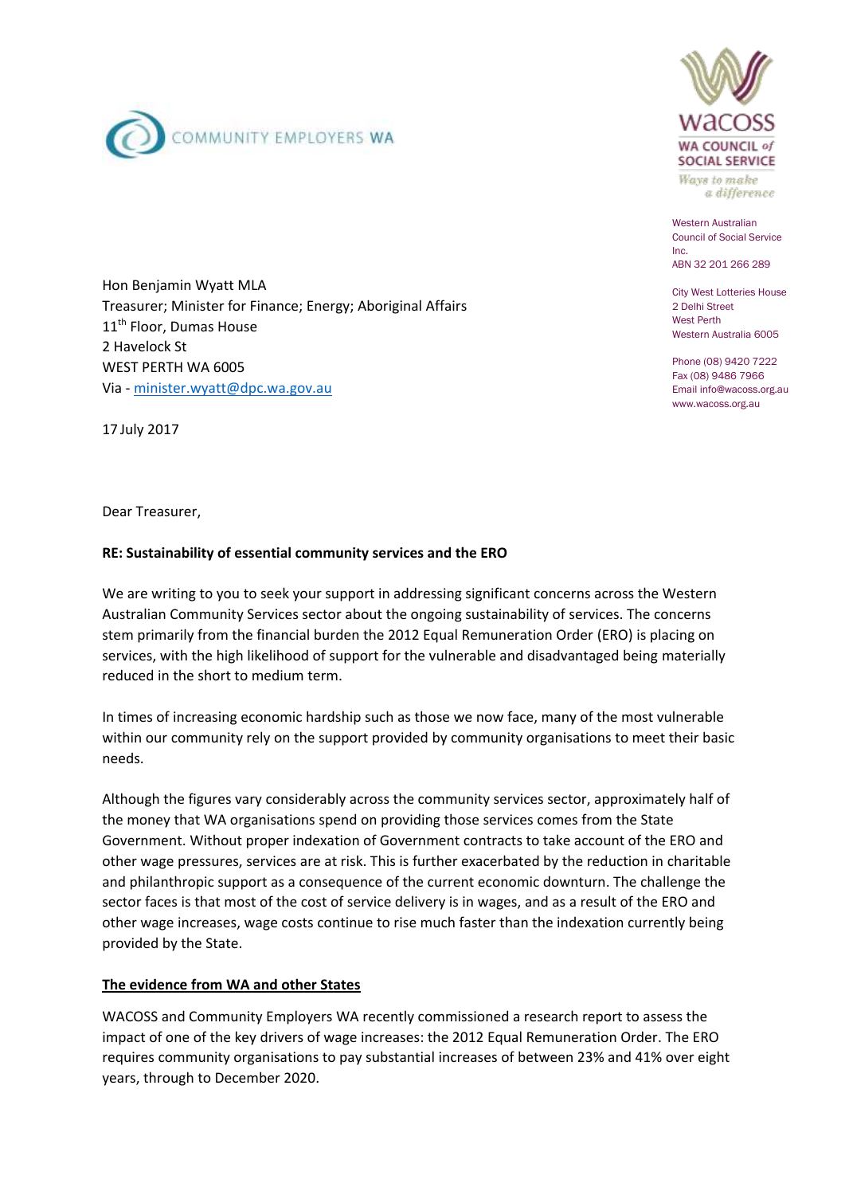



Ways to make a difference

Western Australian Council of Social Service Inc. ABN 32 201 266 289

City West Lotteries House 2 Delhi Street West Perth Western Australia 6005

Phone (08) 9420 7222 Fax (08) 9486 7966 Email info@wacoss.org.au www.wacoss.org.au

Hon Benjamin Wyatt MLA Treasurer; Minister for Finance; Energy; Aboriginal Affairs 11<sup>th</sup> Floor, Dumas House 2 Havelock St WEST PERTH WA 6005 Via - [minister.wyatt@dpc.wa.gov.au](mailto:minister.wyatt@dpc.wa.gov.au)

17 July 2017

Dear Treasurer,

## **RE: Sustainability of essential community services and the ERO**

We are writing to you to seek your support in addressing significant concerns across the Western Australian Community Services sector about the ongoing sustainability of services. The concerns stem primarily from the financial burden the 2012 Equal Remuneration Order (ERO) is placing on services, with the high likelihood of support for the vulnerable and disadvantaged being materially reduced in the short to medium term.

In times of increasing economic hardship such as those we now face, many of the most vulnerable within our community rely on the support provided by community organisations to meet their basic needs.

Although the figures vary considerably across the community services sector, approximately half of the money that WA organisations spend on providing those services comes from the State Government. Without proper indexation of Government contracts to take account of the ERO and other wage pressures, services are at risk. This is further exacerbated by the reduction in charitable and philanthropic support as a consequence of the current economic downturn. The challenge the sector faces is that most of the cost of service delivery is in wages, and as a result of the ERO and other wage increases, wage costs continue to rise much faster than the indexation currently being provided by the State.

## **The evidence from WA and other States**

WACOSS and Community Employers WA recently commissioned a research report to assess the impact of one of the key drivers of wage increases: the 2012 Equal Remuneration Order. The ERO requires community organisations to pay substantial increases of between 23% and 41% over eight years, through to December 2020.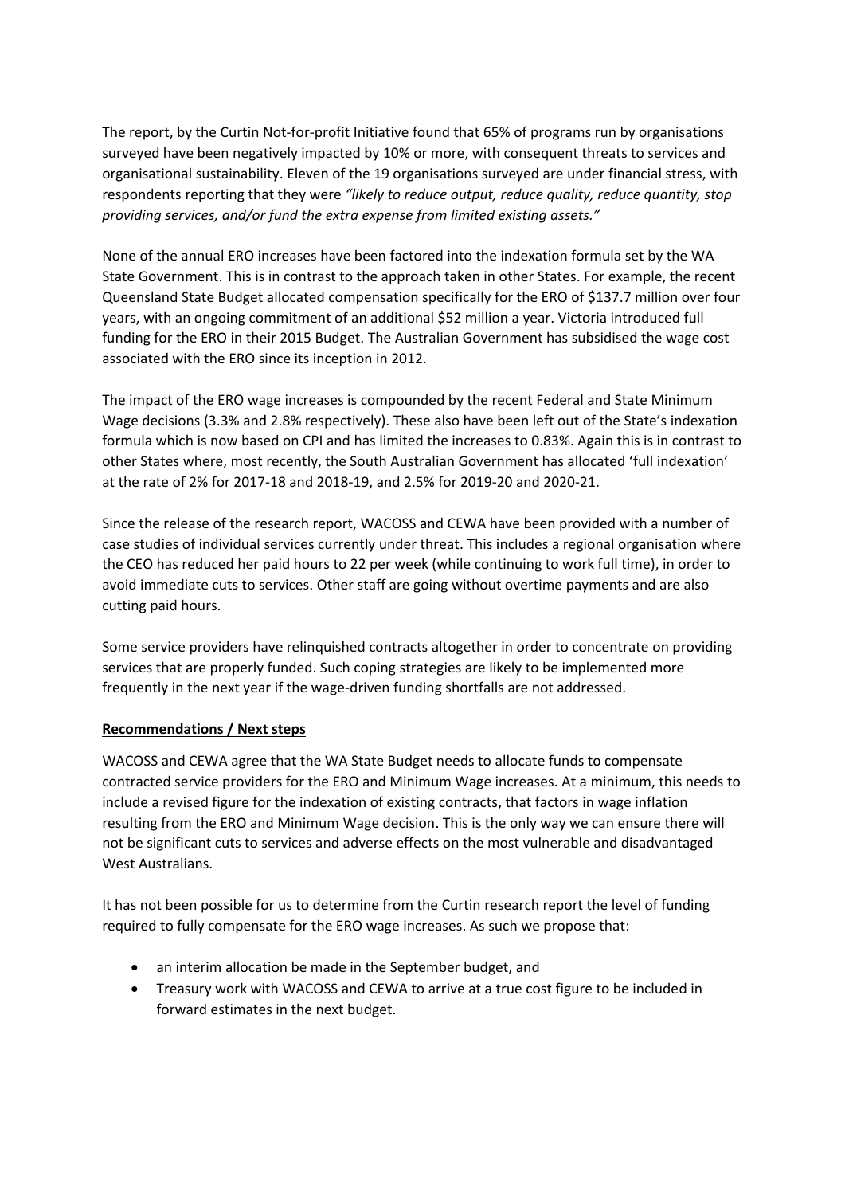The report, by the Curtin Not-for-profit Initiative found that 65% of programs run by organisations surveyed have been negatively impacted by 10% or more, with consequent threats to services and organisational sustainability. Eleven of the 19 organisations surveyed are under financial stress, with respondents reporting that they were *"likely to reduce output, reduce quality, reduce quantity, stop providing services, and/or fund the extra expense from limited existing assets."*

None of the annual ERO increases have been factored into the indexation formula set by the WA State Government. This is in contrast to the approach taken in other States. For example, the recent Queensland State Budget allocated compensation specifically for the ERO of \$137.7 million over four years, with an ongoing commitment of an additional \$52 million a year. Victoria introduced full funding for the ERO in their 2015 Budget. The Australian Government has subsidised the wage cost associated with the ERO since its inception in 2012.

The impact of the ERO wage increases is compounded by the recent Federal and State Minimum Wage decisions (3.3% and 2.8% respectively). These also have been left out of the State's indexation formula which is now based on CPI and has limited the increases to 0.83%. Again this is in contrast to other States where, most recently, the South Australian Government has allocated 'full indexation' at the rate of 2% for 2017-18 and 2018-19, and 2.5% for 2019-20 and 2020-21.

Since the release of the research report, WACOSS and CEWA have been provided with a number of case studies of individual services currently under threat. This includes a regional organisation where the CEO has reduced her paid hours to 22 per week (while continuing to work full time), in order to avoid immediate cuts to services. Other staff are going without overtime payments and are also cutting paid hours.

Some service providers have relinquished contracts altogether in order to concentrate on providing services that are properly funded. Such coping strategies are likely to be implemented more frequently in the next year if the wage-driven funding shortfalls are not addressed.

## **Recommendations / Next steps**

WACOSS and CEWA agree that the WA State Budget needs to allocate funds to compensate contracted service providers for the ERO and Minimum Wage increases. At a minimum, this needs to include a revised figure for the indexation of existing contracts, that factors in wage inflation resulting from the ERO and Minimum Wage decision. This is the only way we can ensure there will not be significant cuts to services and adverse effects on the most vulnerable and disadvantaged West Australians.

It has not been possible for us to determine from the Curtin research report the level of funding required to fully compensate for the ERO wage increases. As such we propose that:

- an interim allocation be made in the September budget, and
- Treasury work with WACOSS and CEWA to arrive at a true cost figure to be included in forward estimates in the next budget.